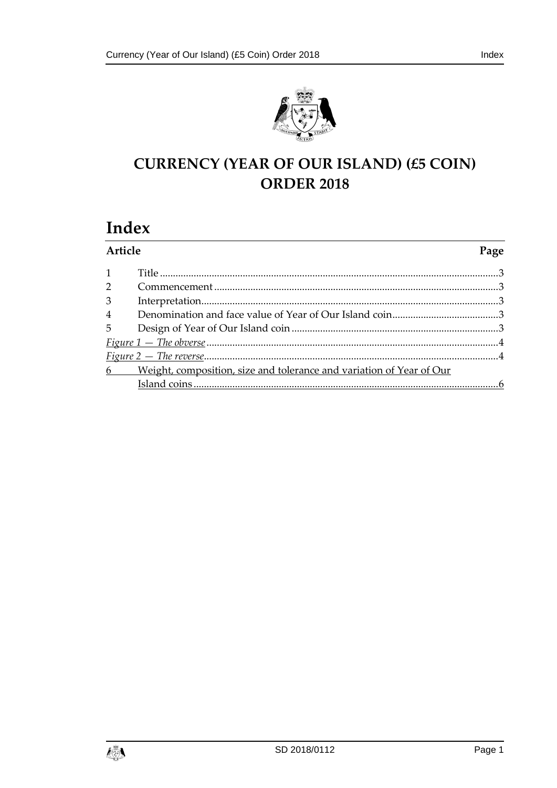

# **CURRENCY (YEAR OF OUR ISLAND) (£5 COIN) ORDER 2018**

## Index

| Article        |                                                                        | Page |
|----------------|------------------------------------------------------------------------|------|
| $\mathbf{1}$   |                                                                        |      |
| $\overline{2}$ |                                                                        |      |
| 3              |                                                                        |      |
| $\overline{4}$ |                                                                        |      |
|                |                                                                        |      |
|                |                                                                        |      |
|                |                                                                        |      |
|                | 6 Weight, composition, size and tolerance and variation of Year of Our |      |
|                |                                                                        |      |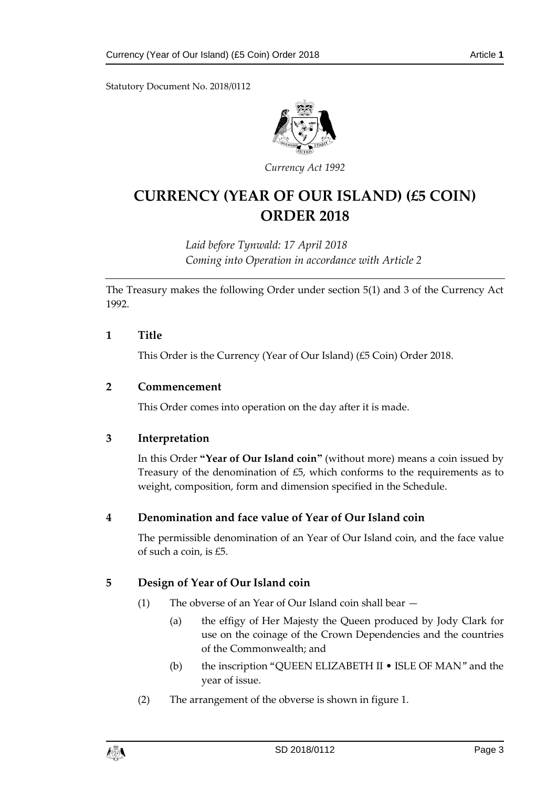Statutory Document No. 2018/0112



*Currency Act 1992*

## **CURRENCY (YEAR OF OUR ISLAND) (£5 COIN) ORDER 2018**

*Laid before Tynwald: 17 April 2018 Coming into Operation in accordance with Article 2*

The Treasury makes the following Order under section 5(1) and 3 of the Currency Act 1992.

#### <span id="page-2-0"></span>**1 Title**

This Order is the Currency (Year of Our Island) (£5 Coin) Order 2018.

#### <span id="page-2-1"></span>**2 Commencement**

This Order comes into operation on the day after it is made.

#### <span id="page-2-2"></span>**3 Interpretation**

In this Order **"Year of Our Island coin"** (without more) means a coin issued by Treasury of the denomination of  $£5$ , which conforms to the requirements as to weight, composition, form and dimension specified in the Schedule.

#### <span id="page-2-3"></span>**4 Denomination and face value of Year of Our Island coin**

The permissible denomination of an Year of Our Island coin, and the face value of such a coin, is £5.

#### <span id="page-2-4"></span>**5 Design of Year of Our Island coin**

- (1) The obverse of an Year of Our Island coin shall bear
	- (a) the effigy of Her Majesty the Queen produced by Jody Clark for use on the coinage of the Crown Dependencies and the countries of the Commonwealth; and
	- (b) the inscription "QUEEN ELIZABETH II ISLE OF MAN" and the year of issue.
- (2) The arrangement of the obverse is shown in figure 1.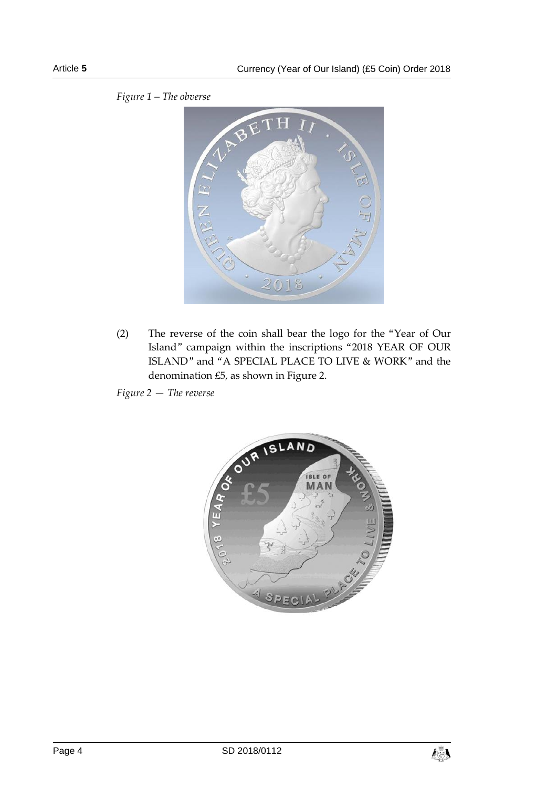

*Figure 1 – The obverse*

(2) The reverse of the coin shall bear the logo for the "Year of Our Island" campaign within the inscriptions "2018 YEAR OF OUR ISLAND" and "A SPECIAL PLACE TO LIVE & WORK" and the denomination £5, as shown in Figure 2.

*Figure 2 — The reverse*



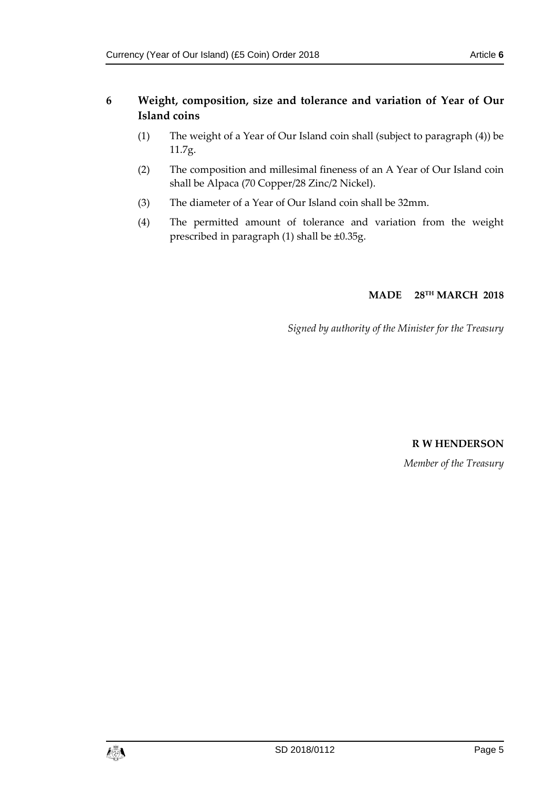## **6 Weight, composition, size and tolerance and variation of Year of Our Island coins**

- (1) The weight of a Year of Our Island coin shall (subject to paragraph (4)) be 11.7g.
- (2) The composition and millesimal fineness of an A Year of Our Island coin shall be Alpaca (70 Copper/28 Zinc/2 Nickel).
- (3) The diameter of a Year of Our Island coin shall be 32mm.
- (4) The permitted amount of tolerance and variation from the weight prescribed in paragraph (1) shall be ±0.35g.

## **MADE 28TH MARCH 2018**

*Signed by authority of the Minister for the Treasury*

## **R W HENDERSON**

*Member of the Treasury*